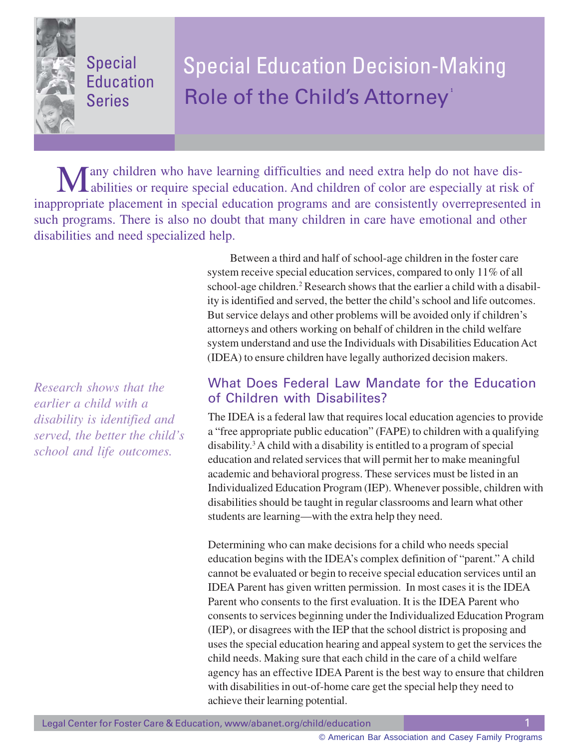Special Education Series

# Special Education Decision-Making Role of the Child's Attorney **1**

Many children who have learning difficulties and need extra help do not have dis-<br>abilities or require special education. And children of color are especially at risk of inappropriate placement in special education programs and are consistently overrepresented in such programs. There is also no doubt that many children in care have emotional and other disabilities and need specialized help.

> system receive special education services, compared to only 11% of all school-age children.<sup>2</sup> Research shows that the earlier a child with a disability is identified and served, the better the child's school and life outcomes. But service delays and other problems will be avoided only if children's attorneys and others working on behalf of children in the child welfare system understand and use the Individuals with Disabilities Education Act (IDEA) to ensure children have legally authorized decision makers.

Between a third and half of school-age children in the foster care

# *Research shows that the earlier a child with a disability is identified and served, the better the child's school and life outcomes.*

#### What Does Federal Law Mandate for the Education of Children with Disabilites?

The IDEA is a federal law that requires local education agencies to provide a "free appropriate public education" (FAPE) to children with a qualifying disability.3 A child with a disability is entitled to a program of special education and related services that will permit her to make meaningful academic and behavioral progress. These services must be listed in an Individualized Education Program (IEP). Whenever possible, children with disabilities should be taught in regular classrooms and learn what other students are learning—with the extra help they need.

Determining who can make decisions for a child who needs special education begins with the IDEA's complex definition of "parent." A child cannot be evaluated or begin to receive special education services until an IDEA Parent has given written permission. In most cases it is the IDEA Parent who consents to the first evaluation. It is the IDEA Parent who consents to services beginning under the Individualized Education Program (IEP), or disagrees with the IEP that the school district is proposing and uses the special education hearing and appeal system to get the services the child needs. Making sure that each child in the care of a child welfare agency has an effective IDEA Parent is the best way to ensure that children with disabilities in out-of-home care get the special help they need to achieve their learning potential.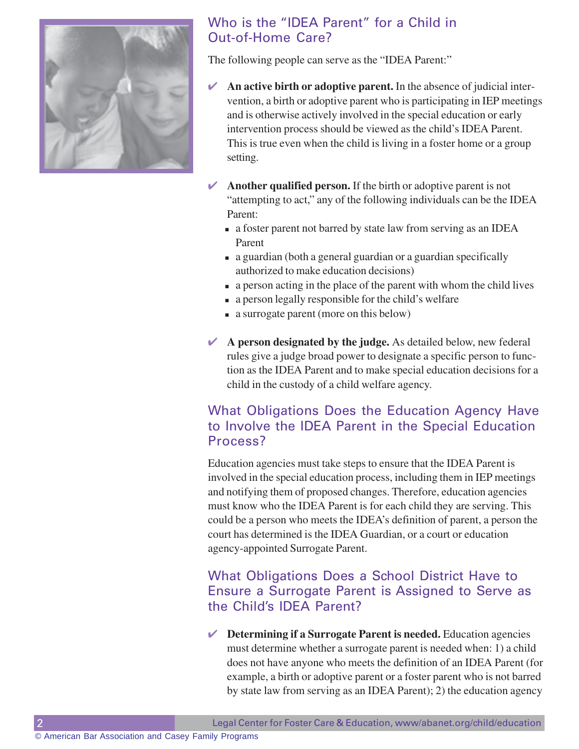

# Who is the "IDEA Parent" for a Child in Out-of-Home Care?

The following people can serve as the "IDEA Parent:"

- ✔ **An active birth or adoptive parent.** In the absence of judicial intervention, a birth or adoptive parent who is participating in IEP meetings and is otherwise actively involved in the special education or early intervention process should be viewed as the child's IDEA Parent. This is true even when the child is living in a foster home or a group setting.
- $\blacktriangleright$  **Another qualified person.** If the birth or adoptive parent is not "attempting to act," any of the following individuals can be the IDEA Parent:
	- a foster parent not barred by state law from serving as an IDEA Parent
	- a guardian (both a general guardian or a guardian specifically authorized to make education decisions)
	- a person acting in the place of the parent with whom the child lives
	- a person legally responsible for the child's welfare
	- a surrogate parent (more on this below)
- ✔ **A person designated by the judge.** As detailed below, new federal rules give a judge broad power to designate a specific person to function as the IDEA Parent and to make special education decisions for a child in the custody of a child welfare agency.

### What Obligations Does the Education Agency Have to Involve the IDEA Parent in the Special Education Process?

Education agencies must take steps to ensure that the IDEA Parent is involved in the special education process, including them in IEP meetings and notifying them of proposed changes. Therefore, education agencies must know who the IDEA Parent is for each child they are serving. This could be a person who meets the IDEA's definition of parent, a person the court has determined is the IDEA Guardian, or a court or education agency-appointed Surrogate Parent.

## What Obligations Does a School District Have to Ensure a Surrogate Parent is Assigned to Serve as the Child's IDEA Parent?

✔ **Determining if a Surrogate Parent is needed.** Education agencies must determine whether a surrogate parent is needed when: 1) a child does not have anyone who meets the definition of an IDEA Parent (for example, a birth or adoptive parent or a foster parent who is not barred by state law from serving as an IDEA Parent); 2) the education agency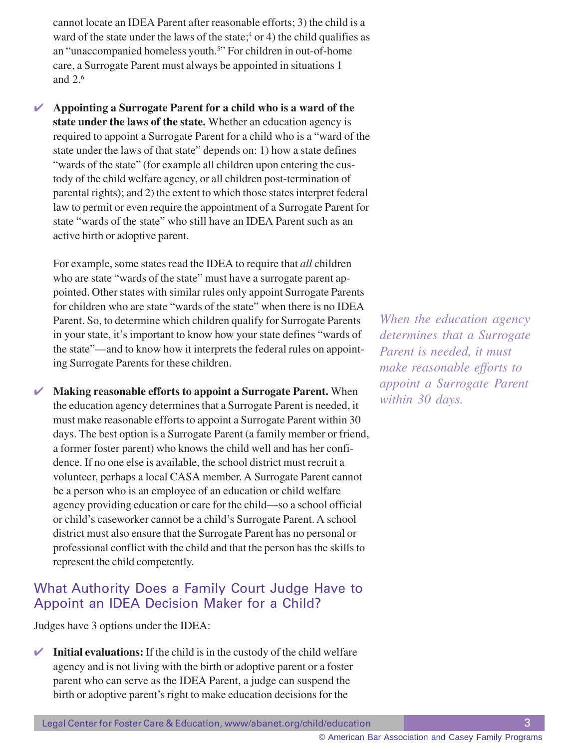cannot locate an IDEA Parent after reasonable efforts; 3) the child is a ward of the state under the laws of the state;  $4$  or 4) the child qualifies as an "unaccompanied homeless youth.<sup>5</sup>" For children in out-of-home care, a Surrogate Parent must always be appointed in situations 1 and 2.6

✔ **Appointing a Surrogate Parent for a child who is a ward of the state under the laws of the state.** Whether an education agency is required to appoint a Surrogate Parent for a child who is a "ward of the state under the laws of that state" depends on: 1) how a state defines "wards of the state" (for example all children upon entering the custody of the child welfare agency, or all children post-termination of parental rights); and 2) the extent to which those states interpret federal law to permit or even require the appointment of a Surrogate Parent for state "wards of the state" who still have an IDEA Parent such as an active birth or adoptive parent.

For example, some states read the IDEA to require that *all* children who are state "wards of the state" must have a surrogate parent appointed. Other states with similar rules only appoint Surrogate Parents for children who are state "wards of the state" when there is no IDEA Parent. So, to determine which children qualify for Surrogate Parents in your state, it's important to know how your state defines "wards of the state"—and to know how it interprets the federal rules on appointing Surrogate Parents for these children.

✔ **Making reasonable efforts to appoint a Surrogate Parent.** When the education agency determines that a Surrogate Parent is needed, it must make reasonable efforts to appoint a Surrogate Parent within 30 days. The best option is a Surrogate Parent (a family member or friend, a former foster parent) who knows the child well and has her confidence. If no one else is available, the school district must recruit a volunteer, perhaps a local CASA member. A Surrogate Parent cannot be a person who is an employee of an education or child welfare agency providing education or care for the child—so a school official or child's caseworker cannot be a child's Surrogate Parent. A school district must also ensure that the Surrogate Parent has no personal or professional conflict with the child and that the person has the skills to represent the child competently.

#### What Authority Does a Family Court Judge Have to Appoint an IDEA Decision Maker for a Child?

Judges have 3 options under the IDEA:

 $\blacksquare$  **Initial evaluations:** If the child is in the custody of the child welfare agency and is not living with the birth or adoptive parent or a foster parent who can serve as the IDEA Parent, a judge can suspend the birth or adoptive parent's right to make education decisions for the

*When the education agency determines that a Surrogate Parent is needed, it must make reasonable efforts to appoint a Surrogate Parent within 30 days.*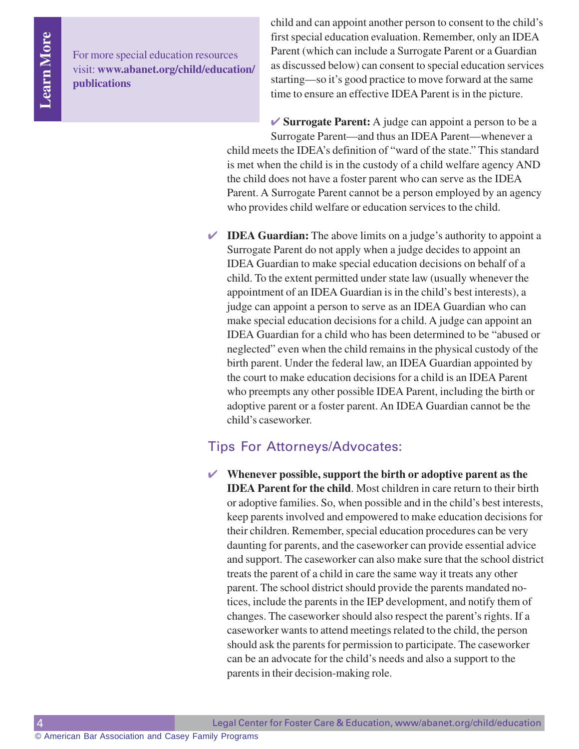For more special education resources visit: **www.abanet.org/child/education/ publications**

child and can appoint another person to consent to the child's first special education evaluation. Remember, only an IDEA Parent (which can include a Surrogate Parent or a Guardian as discussed below) can consent to special education services starting—so it's good practice to move forward at the same time to ensure an effective IDEA Parent is in the picture.

**► Surrogate Parent:** A judge can appoint a person to be a Surrogate Parent—and thus an IDEA Parent—whenever a child meets the IDEA's definition of "ward of the state." This standard is met when the child is in the custody of a child welfare agency AND the child does not have a foster parent who can serve as the IDEA Parent. A Surrogate Parent cannot be a person employed by an agency who provides child welfare or education services to the child.

✔ **IDEA Guardian:** The above limits on a judge's authority to appoint a Surrogate Parent do not apply when a judge decides to appoint an IDEA Guardian to make special education decisions on behalf of a child. To the extent permitted under state law (usually whenever the appointment of an IDEA Guardian is in the child's best interests), a judge can appoint a person to serve as an IDEA Guardian who can make special education decisions for a child. A judge can appoint an IDEA Guardian for a child who has been determined to be "abused or neglected" even when the child remains in the physical custody of the birth parent. Under the federal law, an IDEA Guardian appointed by the court to make education decisions for a child is an IDEA Parent who preempts any other possible IDEA Parent, including the birth or adoptive parent or a foster parent. An IDEA Guardian cannot be the child's caseworker.

#### Tips For Attorneys/Advocates:

✔ **Whenever possible, support the birth or adoptive parent as the IDEA Parent for the child**. Most children in care return to their birth or adoptive families. So, when possible and in the child's best interests, keep parents involved and empowered to make education decisions for their children. Remember, special education procedures can be very daunting for parents, and the caseworker can provide essential advice and support. The caseworker can also make sure that the school district treats the parent of a child in care the same way it treats any other parent. The school district should provide the parents mandated notices, include the parents in the IEP development, and notify them of changes. The caseworker should also respect the parent's rights. If a caseworker wants to attend meetings related to the child, the person should ask the parents for permission to participate. The caseworker can be an advocate for the child's needs and also a support to the parents in their decision-making role.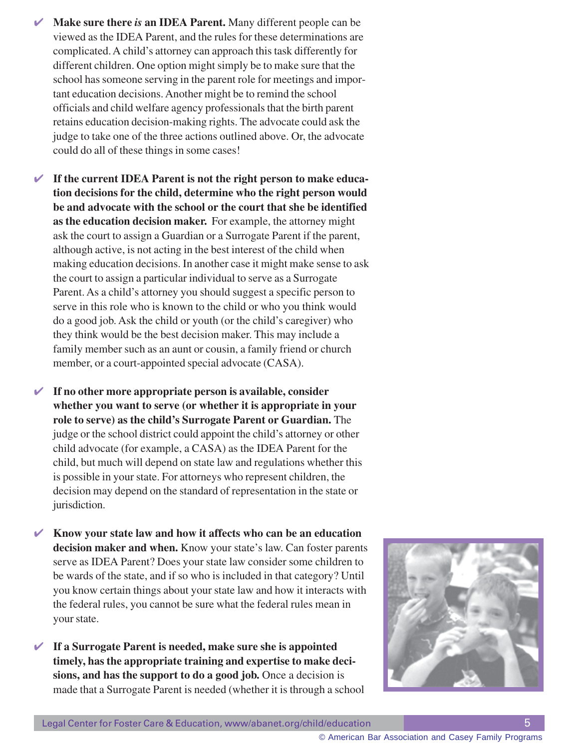- ✔ **Make sure there** *is* **an IDEA Parent.** Many different people can be viewed as the IDEA Parent, and the rules for these determinations are complicated. A child's attorney can approach this task differently for different children. One option might simply be to make sure that the school has someone serving in the parent role for meetings and important education decisions. Another might be to remind the school officials and child welfare agency professionals that the birth parent retains education decision-making rights. The advocate could ask the judge to take one of the three actions outlined above. Or, the advocate could do all of these things in some cases!
- ✔ **If the current IDEA Parent is not the right person to make education decisions for the child, determine who the right person would be and advocate with the school or the court that she be identified as the education decision maker.** For example, the attorney might ask the court to assign a Guardian or a Surrogate Parent if the parent, although active, is not acting in the best interest of the child when making education decisions. In another case it might make sense to ask the court to assign a particular individual to serve as a Surrogate Parent. As a child's attorney you should suggest a specific person to serve in this role who is known to the child or who you think would do a good job. Ask the child or youth (or the child's caregiver) who they think would be the best decision maker. This may include a family member such as an aunt or cousin, a family friend or church member, or a court-appointed special advocate (CASA).
- ✔ **If no other more appropriate person is available, consider whether you want to serve (or whether it is appropriate in your role to serve) as the child's Surrogate Parent or Guardian.** The judge or the school district could appoint the child's attorney or other child advocate (for example, a CASA) as the IDEA Parent for the child, but much will depend on state law and regulations whether this is possible in your state. For attorneys who represent children, the decision may depend on the standard of representation in the state or jurisdiction.
- ✔ **Know your state law and how it affects who can be an education decision maker and when.** Know your state's law. Can foster parents serve as IDEA Parent? Does your state law consider some children to be wards of the state, and if so who is included in that category? Until you know certain things about your state law and how it interacts with the federal rules, you cannot be sure what the federal rules mean in your state.
- ✔ **If a Surrogate Parent is needed, make sure she is appointed timely, has the appropriate training and expertise to make decisions, and has the support to do a good job.** Once a decision is made that a Surrogate Parent is needed (whether it is through a school



© American Bar Association and Casey Family Programs